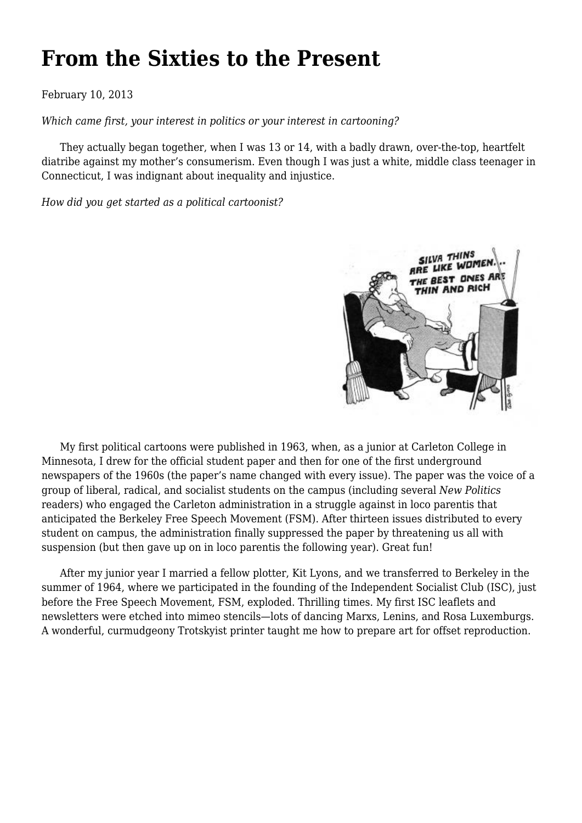## **[From the Sixties to the Present](https://newpol.org/issue_post/sixties-present/)**

February 10, 2013

*Which came first, your interest in politics or your interest in cartooning?*

 They actually began together, when I was 13 or 14, with a badly drawn, over-the-top, heartfelt diatribe against my mother's consumerism. Even though I was just a white, middle class teenager in Connecticut, I was indignant about inequality and injustice.

*How did you get started as a political cartoonist?*



 My first political cartoons were published in 1963, when, as a junior at Carleton College in Minnesota, I drew for the official student paper and then for one of the first underground newspapers of the 1960s (the paper's name changed with every issue). The paper was the voice of a group of liberal, radical, and socialist students on the campus (including several *New Politics* readers) who engaged the Carleton administration in a struggle against in loco parentis that anticipated the Berkeley Free Speech Movement (FSM). After thirteen issues distributed to every student on campus, the administration finally suppressed the paper by threatening us all with suspension (but then gave up on in loco parentis the following year). Great fun!

 After my junior year I married a fellow plotter, Kit Lyons, and we transferred to Berkeley in the summer of 1964, where we participated in the founding of the Independent Socialist Club (ISC), just before the Free Speech Movement, FSM, exploded. Thrilling times. My first ISC leaflets and newsletters were etched into mimeo stencils—lots of dancing Marxs, Lenins, and Rosa Luxemburgs. A wonderful, curmudgeony Trotskyist printer taught me how to prepare art for offset reproduction.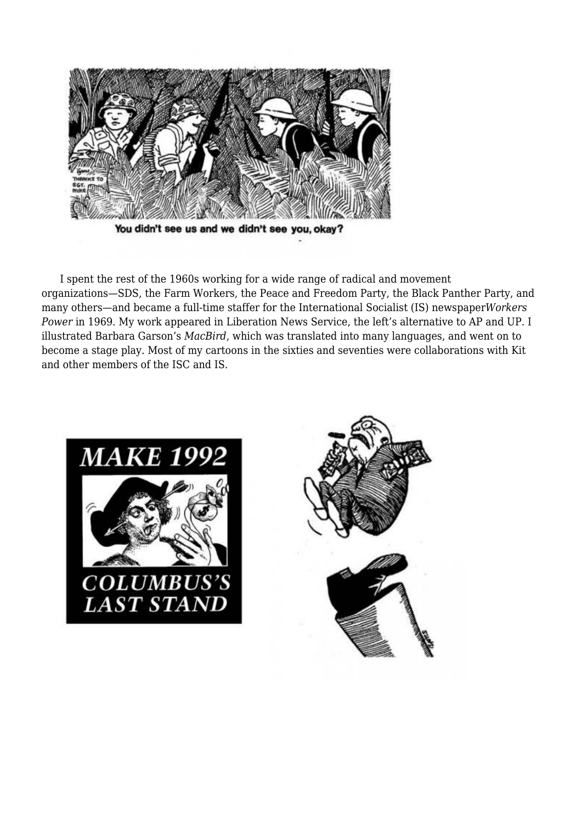

 I spent the rest of the 1960s working for a wide range of radical and movement organizations—SDS, the Farm Workers, the Peace and Freedom Party, the Black Panther Party, and many others—and became a full-time staffer for the International Socialist (IS) newspaper*Workers Power* in 1969. My work appeared in Liberation News Service, the left's alternative to AP and UP. I illustrated Barbara Garson's *MacBird*, which was translated into many languages, and went on to become a stage play. Most of my cartoons in the sixties and seventies were collaborations with Kit and other members of the ISC and IS.



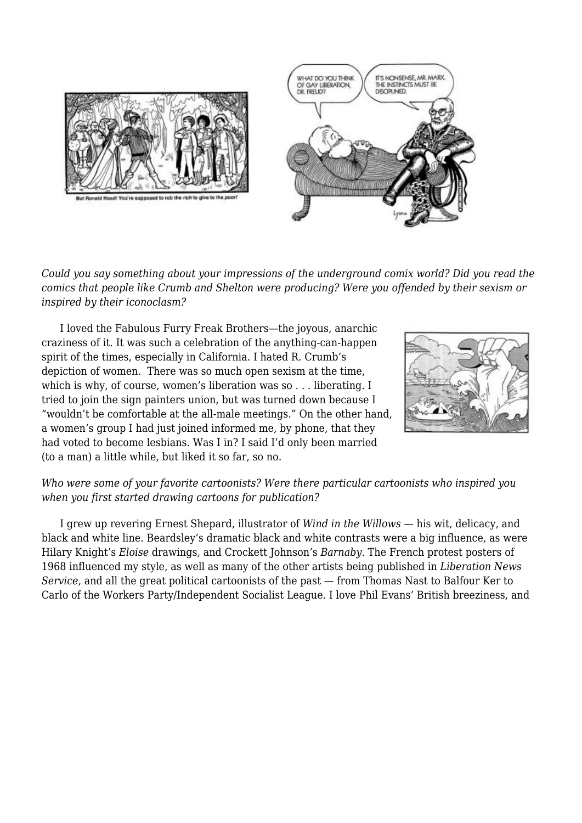

*Could you say something about your impressions of the underground comix world? Did you read the comics that people like Crumb and Shelton were producing? Were you offended by their sexism or inspired by their iconoclasm?*

 I loved the Fabulous Furry Freak Brothers—the joyous, anarchic craziness of it. It was such a celebration of the anything-can-happen spirit of the times, especially in California. I hated R. Crumb's depiction of women. There was so much open sexism at the time, which is why, of course, women's liberation was so . . . liberating. I tried to join the sign painters union, but was turned down because I "wouldn't be comfortable at the all-male meetings." On the other hand, a women's group I had just joined informed me, by phone, that they had voted to become lesbians. Was I in? I said I'd only been married (to a man) a little while, but liked it so far, so no.



## *Who were some of your favorite cartoonists? Were there particular cartoonists who inspired you when you first started drawing cartoons for publication?*

 I grew up revering Ernest Shepard, illustrator of *Wind in the Willows* — his wit, delicacy, and black and white line. Beardsley's dramatic black and white contrasts were a big influence, as were Hilary Knight's *Eloise* drawings, and Crockett Johnson's *Barnaby*. The French protest posters of 1968 influenced my style, as well as many of the other artists being published in *Liberation News Service*, and all the great political cartoonists of the past — from Thomas Nast to Balfour Ker to Carlo of the Workers Party/Independent Socialist League. I love Phil Evans' British breeziness, and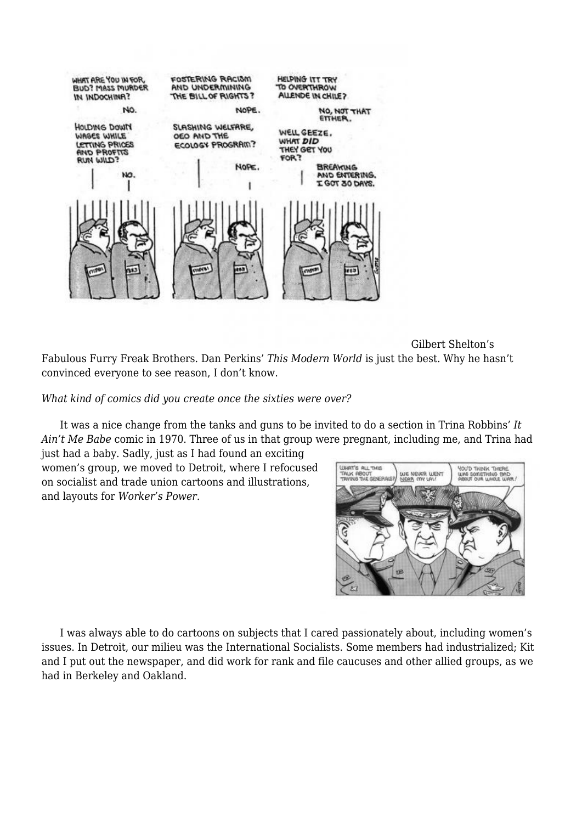

 Gilbert Shelton's Fabulous Furry Freak Brothers. Dan Perkins' *This Modern World* is just the best. Why he hasn't convinced everyone to see reason, I don't know.

*What kind of comics did you create once the sixties were over?*

 It was a nice change from the tanks and guns to be invited to do a section in Trina Robbins' *It Ain't Me Babe* comic in 1970. Three of us in that group were pregnant, including me, and Trina had

just had a baby. Sadly, just as I had found an exciting women's group, we moved to Detroit, where I refocused on socialist and trade union cartoons and illustrations, and layouts for *Worker's Power*.



 I was always able to do cartoons on subjects that I cared passionately about, including women's issues. In Detroit, our milieu was the International Socialists. Some members had industrialized; Kit and I put out the newspaper, and did work for rank and file caucuses and other allied groups, as we had in Berkeley and Oakland.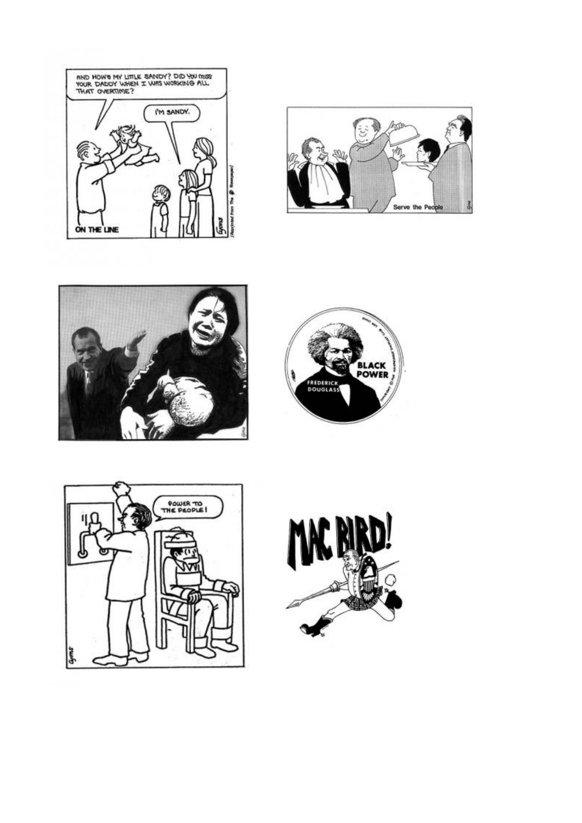









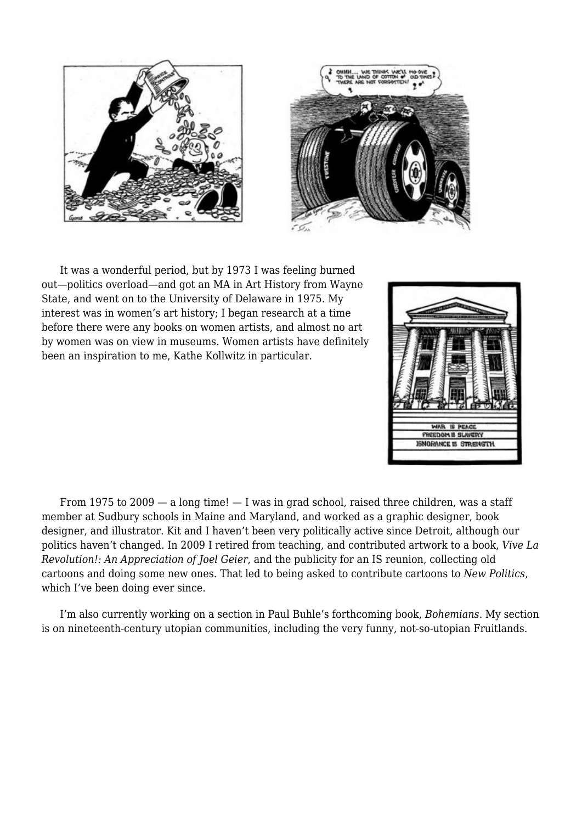



 It was a wonderful period, but by 1973 I was feeling burned out—politics overload—and got an MA in Art History from Wayne State, and went on to the University of Delaware in 1975. My interest was in women's art history; I began research at a time before there were any books on women artists, and almost no art by women was on view in museums. Women artists have definitely been an inspiration to me, Kathe Kollwitz in particular.



From 1975 to  $2009 - a$  long time!  $- I$  was in grad school, raised three children, was a staff member at Sudbury schools in Maine and Maryland, and worked as a graphic designer, book designer, and illustrator. Kit and I haven't been very politically active since Detroit, although our politics haven't changed. In 2009 I retired from teaching, and contributed artwork to a book, *Vive La Revolution!: An Appreciation of Joel Geier*, and the publicity for an IS reunion, collecting old cartoons and doing some new ones. That led to being asked to contribute cartoons to *New Politics*, which I've been doing ever since.

 I'm also currently working on a section in Paul Buhle's forthcoming book, *Bohemians*. My section is on nineteenth-century utopian communities, including the very funny, not-so-utopian Fruitlands.